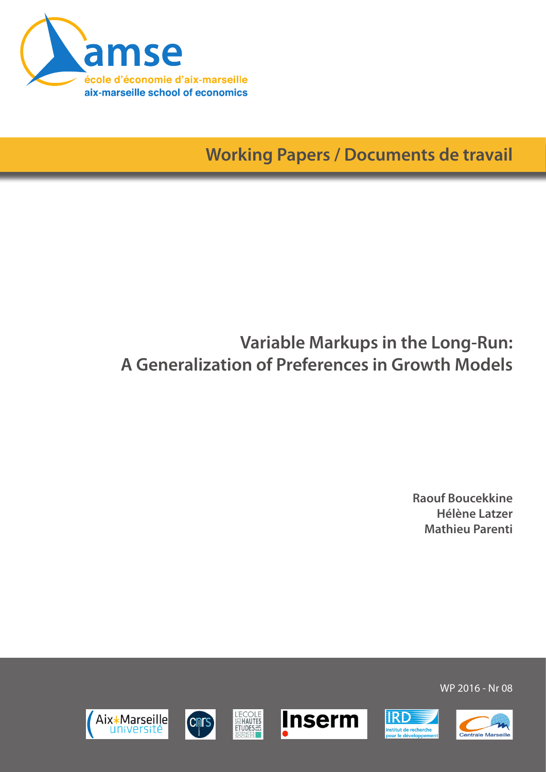

**Working Papers / Documents de travail**

# **Variable Markups in the Long-Run: A Generalization of Preferences in Growth Models**

**Raouf Boucekkine Hélène Latzer Mathieu Parenti**

WP 2016 - Nr 08

**IRD** 

nstitut de recherche<br>vour le développem







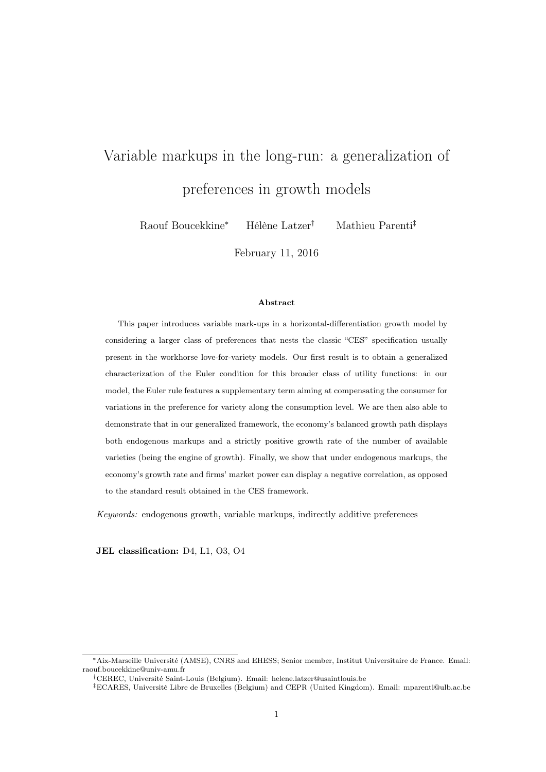# Variable markups in the long-run: a generalization of preferences in growth models

Raouf Boucekkine<sup>∗</sup> Hélène Latzer† Mathieu Parenti‡

February 11, 2016

#### Abstract

This paper introduces variable mark-ups in a horizontal-differentiation growth model by considering a larger class of preferences that nests the classic "CES" specification usually present in the workhorse love-for-variety models. Our first result is to obtain a generalized characterization of the Euler condition for this broader class of utility functions: in our model, the Euler rule features a supplementary term aiming at compensating the consumer for variations in the preference for variety along the consumption level. We are then also able to demonstrate that in our generalized framework, the economy's balanced growth path displays both endogenous markups and a strictly positive growth rate of the number of available varieties (being the engine of growth). Finally, we show that under endogenous markups, the economy's growth rate and firms' market power can display a negative correlation, as opposed to the standard result obtained in the CES framework.

Keywords: endogenous growth, variable markups, indirectly additive preferences

JEL classification: D4, L1, O3, O4

<sup>∗</sup>Aix-Marseille Université (AMSE), CNRS and EHESS; Senior member, Institut Universitaire de France. Email: raouf.boucekkine@univ-amu.fr

<sup>†</sup>CEREC, Université Saint-Louis (Belgium). Email: helene.latzer@usaintlouis.be

<sup>‡</sup>ECARES, Université Libre de Bruxelles (Belgium) and CEPR (United Kingdom). Email: mparenti@ulb.ac.be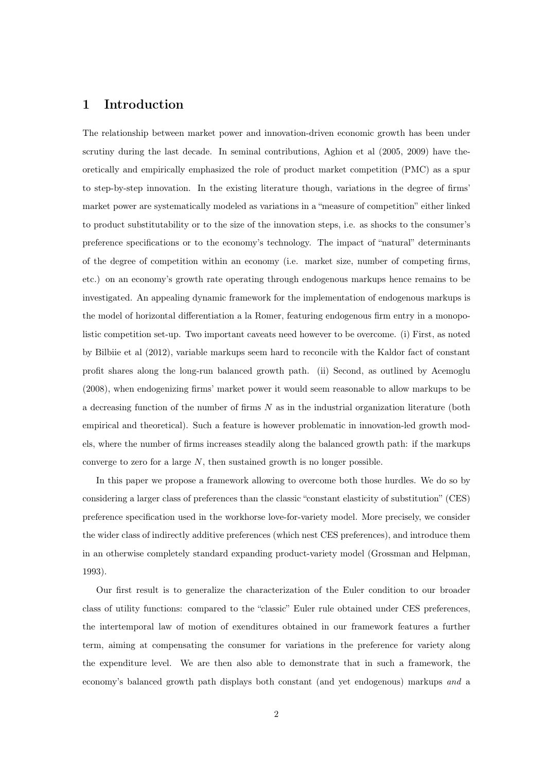## 1 Introduction

The relationship between market power and innovation-driven economic growth has been under scrutiny during the last decade. In seminal contributions, Aghion et al (2005, 2009) have theoretically and empirically emphasized the role of product market competition (PMC) as a spur to step-by-step innovation. In the existing literature though, variations in the degree of firms' market power are systematically modeled as variations in a "measure of competition" either linked to product substitutability or to the size of the innovation steps, i.e. as shocks to the consumer's preference specifications or to the economy's technology. The impact of "natural" determinants of the degree of competition within an economy (i.e. market size, number of competing firms, etc.) on an economy's growth rate operating through endogenous markups hence remains to be investigated. An appealing dynamic framework for the implementation of endogenous markups is the model of horizontal differentiation a la Romer, featuring endogenous firm entry in a monopolistic competition set-up. Two important caveats need however to be overcome. (i) First, as noted by Bilbiie et al (2012), variable markups seem hard to reconcile with the Kaldor fact of constant profit shares along the long-run balanced growth path. (ii) Second, as outlined by Acemoglu (2008), when endogenizing firms' market power it would seem reasonable to allow markups to be a decreasing function of the number of firms  $N$  as in the industrial organization literature (both empirical and theoretical). Such a feature is however problematic in innovation-led growth models, where the number of firms increases steadily along the balanced growth path: if the markups converge to zero for a large  $N$ , then sustained growth is no longer possible.

In this paper we propose a framework allowing to overcome both those hurdles. We do so by considering a larger class of preferences than the classic "constant elasticity of substitution" (CES) preference specification used in the workhorse love-for-variety model. More precisely, we consider the wider class of indirectly additive preferences (which nest CES preferences), and introduce them in an otherwise completely standard expanding product-variety model (Grossman and Helpman, 1993).

Our first result is to generalize the characterization of the Euler condition to our broader class of utility functions: compared to the "classic" Euler rule obtained under CES preferences, the intertemporal law of motion of exenditures obtained in our framework features a further term, aiming at compensating the consumer for variations in the preference for variety along the expenditure level. We are then also able to demonstrate that in such a framework, the economy's balanced growth path displays both constant (and yet endogenous) markups and a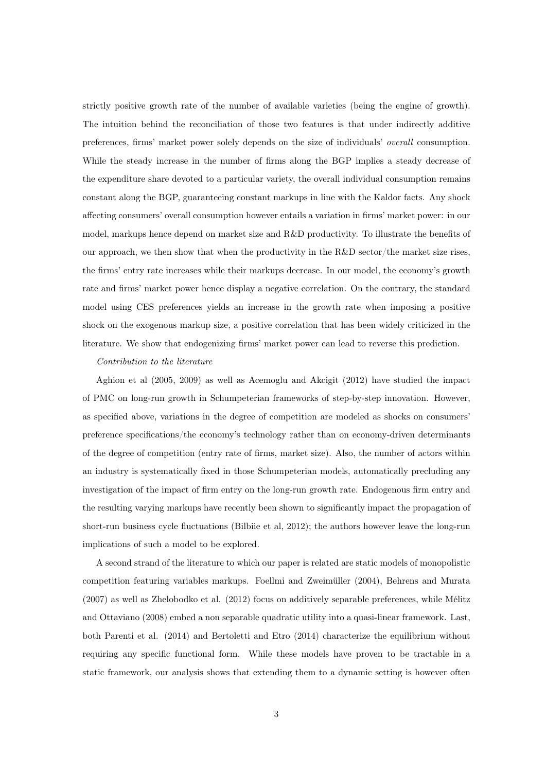strictly positive growth rate of the number of available varieties (being the engine of growth). The intuition behind the reconciliation of those two features is that under indirectly additive preferences, firms' market power solely depends on the size of individuals' overall consumption. While the steady increase in the number of firms along the BGP implies a steady decrease of the expenditure share devoted to a particular variety, the overall individual consumption remains constant along the BGP, guaranteeing constant markups in line with the Kaldor facts. Any shock affecting consumers' overall consumption however entails a variation in firms' market power: in our model, markups hence depend on market size and R&D productivity. To illustrate the benefits of our approach, we then show that when the productivity in the  $R&D$  sector/the market size rises, the firms' entry rate increases while their markups decrease. In our model, the economy's growth rate and firms' market power hence display a negative correlation. On the contrary, the standard model using CES preferences yields an increase in the growth rate when imposing a positive shock on the exogenous markup size, a positive correlation that has been widely criticized in the literature. We show that endogenizing firms' market power can lead to reverse this prediction.

#### Contribution to the literature

Aghion et al (2005, 2009) as well as Acemoglu and Akcigit (2012) have studied the impact of PMC on long-run growth in Schumpeterian frameworks of step-by-step innovation. However, as specified above, variations in the degree of competition are modeled as shocks on consumers' preference specifications/the economy's technology rather than on economy-driven determinants of the degree of competition (entry rate of firms, market size). Also, the number of actors within an industry is systematically fixed in those Schumpeterian models, automatically precluding any investigation of the impact of firm entry on the long-run growth rate. Endogenous firm entry and the resulting varying markups have recently been shown to significantly impact the propagation of short-run business cycle fluctuations (Bilbiie et al, 2012); the authors however leave the long-run implications of such a model to be explored.

A second strand of the literature to which our paper is related are static models of monopolistic competition featuring variables markups. Foellmi and Zweimüller (2004), Behrens and Murata (2007) as well as Zhelobodko et al. (2012) focus on additively separable preferences, while Mélitz and Ottaviano (2008) embed a non separable quadratic utility into a quasi-linear framework. Last, both Parenti et al. (2014) and Bertoletti and Etro (2014) characterize the equilibrium without requiring any specific functional form. While these models have proven to be tractable in a static framework, our analysis shows that extending them to a dynamic setting is however often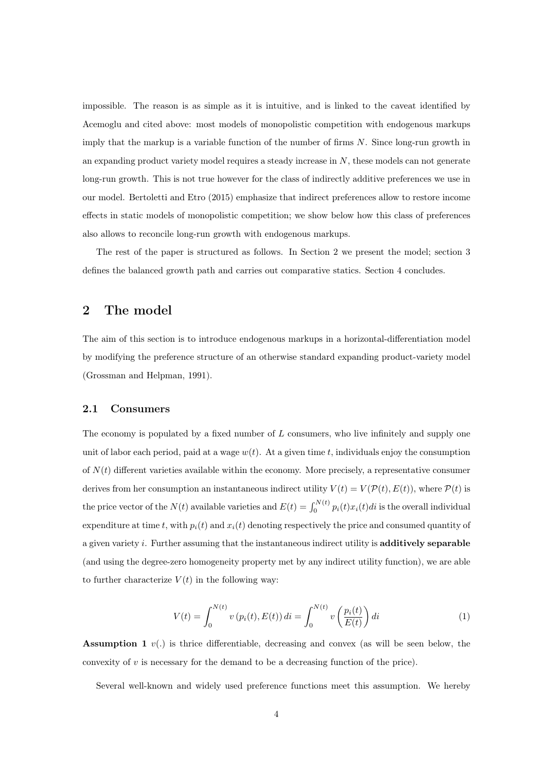impossible. The reason is as simple as it is intuitive, and is linked to the caveat identified by Acemoglu and cited above: most models of monopolistic competition with endogenous markups imply that the markup is a variable function of the number of firms N. Since long-run growth in an expanding product variety model requires a steady increase in  $N$ , these models can not generate long-run growth. This is not true however for the class of indirectly additive preferences we use in our model. Bertoletti and Etro (2015) emphasize that indirect preferences allow to restore income effects in static models of monopolistic competition; we show below how this class of preferences also allows to reconcile long-run growth with endogenous markups.

The rest of the paper is structured as follows. In Section 2 we present the model; section 3 defines the balanced growth path and carries out comparative statics. Section 4 concludes.

## 2 The model

The aim of this section is to introduce endogenous markups in a horizontal-differentiation model by modifying the preference structure of an otherwise standard expanding product-variety model (Grossman and Helpman, 1991).

#### 2.1 Consumers

The economy is populated by a fixed number of L consumers, who live infinitely and supply one unit of labor each period, paid at a wage  $w(t)$ . At a given time t, individuals enjoy the consumption of  $N(t)$  different varieties available within the economy. More precisely, a representative consumer derives from her consumption an instantaneous indirect utility  $V(t) = V(\mathcal{P}(t), E(t))$ , where  $\mathcal{P}(t)$  is the price vector of the  $N(t)$  available varieties and  $E(t) = \int_0^{N(t)} p_i(t)x_i(t)dt$  is the overall individual expenditure at time t, with  $p_i(t)$  and  $x_i(t)$  denoting respectively the price and consumed quantity of a given variety  $i$ . Further assuming that the instantaneous indirect utility is additively separable (and using the degree-zero homogeneity property met by any indirect utility function), we are able to further characterize  $V(t)$  in the following way:

$$
V(t) = \int_0^{N(t)} v(p_i(t), E(t)) dt = \int_0^{N(t)} v\left(\frac{p_i(t)}{E(t)}\right) dt
$$
 (1)

**Assumption 1**  $v(.)$  is thrice differentiable, decreasing and convex (as will be seen below, the convexity of  $v$  is necessary for the demand to be a decreasing function of the price).

Several well-known and widely used preference functions meet this assumption. We hereby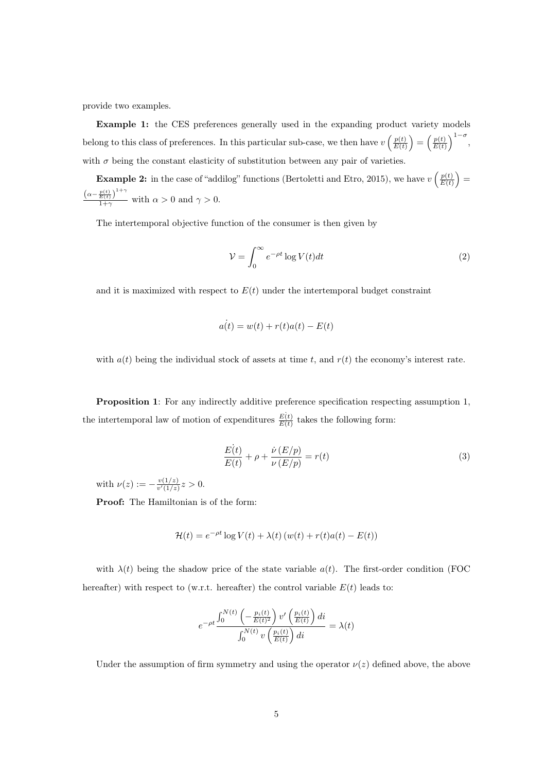provide two examples.

Example 1: the CES preferences generally used in the expanding product variety models belong to this class of preferences. In this particular sub-case, we then have  $v\left(\frac{p(t)}{E(f)}\right)$  $\left(\frac{p(t)}{E(t)}\right) = \left(\frac{p(t)}{E(t)}\right)$  $\frac{p(t)}{E(t)}\bigg)^{1-\sigma}$ , with  $\sigma$  being the constant elasticity of substitution between any pair of varieties.

**Example 2:** in the case of "addilog" functions (Bertoletti and Etro, 2015), we have  $v\left(\frac{p(t)}{E(f)}\right)$  $\frac{p(t)}{E(t)}$  =  $\left(\alpha-\frac{p(t)}{E(t)}\right)^{1+\gamma}$  $\frac{E(t)}{1+\gamma}$  with  $\alpha > 0$  and  $\gamma > 0$ .

The intertemporal objective function of the consumer is then given by

$$
\mathcal{V} = \int_0^\infty e^{-\rho t} \log V(t) dt \tag{2}
$$

and it is maximized with respect to  $E(t)$  under the intertemporal budget constraint

$$
a(t) = w(t) + r(t)a(t) - E(t)
$$

with  $a(t)$  being the individual stock of assets at time t, and  $r(t)$  the economy's interest rate.

Proposition 1: For any indirectly additive preference specification respecting assumption 1, the intertemporal law of motion of expenditures  $\frac{E(t)}{E(t)}$  takes the following form:

$$
\frac{E(t)}{E(t)} + \rho + \frac{\dot{\nu}(E/p)}{\nu(E/p)} = r(t)
$$
\n(3)

with  $\nu(z) := -\frac{v(1/z)}{v'(1/z)}$  $\frac{v(1/z)}{v'(1/z)}z>0.$ 

Proof: The Hamiltonian is of the form:

$$
\mathcal{H}(t) = e^{-\rho t} \log V(t) + \lambda(t) \left( w(t) + r(t)a(t) - E(t) \right)
$$

with  $\lambda(t)$  being the shadow price of the state variable  $a(t)$ . The first-order condition (FOC hereafter) with respect to (w.r.t. hereafter) the control variable  $E(t)$  leads to:

$$
e^{-\rho t} \frac{\int_0^{N(t)} \left(-\frac{p_i(t)}{E(t)^2}\right) v' \left(\frac{p_i(t)}{E(t)}\right) di}{\int_0^{N(t)} v \left(\frac{p_i(t)}{E(t)}\right) di} = \lambda(t)
$$

Under the assumption of firm symmetry and using the operator  $\nu(z)$  defined above, the above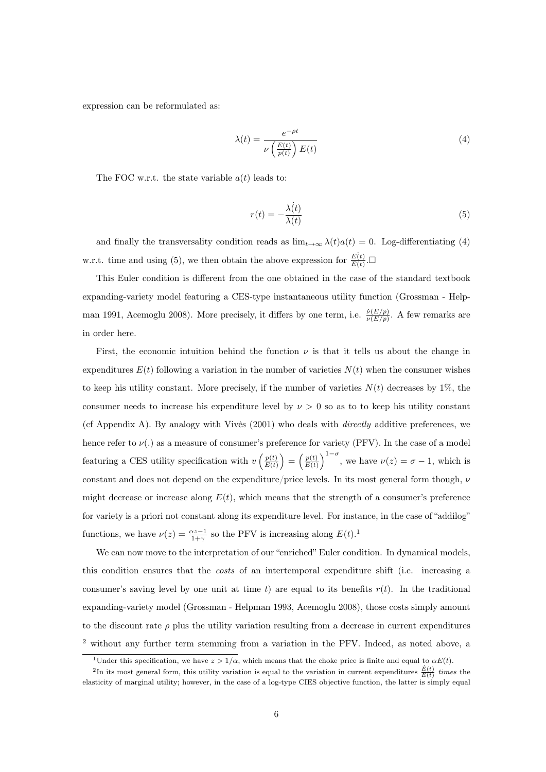expression can be reformulated as:

$$
\lambda(t) = \frac{e^{-\rho t}}{\nu \left(\frac{E(t)}{p(t)}\right) E(t)}\tag{4}
$$

The FOC w.r.t. the state variable  $a(t)$  leads to:

$$
r(t) = -\frac{\lambda(t)}{\lambda(t)}\tag{5}
$$

and finally the transversality condition reads as  $\lim_{t\to\infty} \lambda(t)a(t) = 0$ . Log-differentiating (4) w.r.t. time and using (5), we then obtain the above expression for  $\frac{E(t)}{E(t)}$ .

This Euler condition is different from the one obtained in the case of the standard textbook expanding-variety model featuring a CES-type instantaneous utility function (Grossman - Helpman 1991, Acemoglu 2008). More precisely, it differs by one term, i.e.  $\frac{\dot{\nu}(E/p)}{\nu(E/p)}$ . A few remarks are in order here.

First, the economic intuition behind the function  $\nu$  is that it tells us about the change in expenditures  $E(t)$  following a variation in the number of varieties  $N(t)$  when the consumer wishes to keep his utility constant. More precisely, if the number of varieties  $N(t)$  decreases by 1%, the consumer needs to increase his expenditure level by  $\nu > 0$  so as to to keep his utility constant (cf Appendix A). By analogy with Vivès (2001) who deals with directly additive preferences, we hence refer to  $\nu(.)$  as a measure of consumer's preference for variety (PFV). In the case of a model featuring a CES utility specification with  $v\left(\frac{p(t)}{E(t)}\right)$  $\left(\frac{p(t)}{E(t)}\right) = \left(\frac{p(t)}{E(t)}\right)$  $\frac{p(t)}{E(t)}\Big)^{1-\sigma}$ , we have  $\nu(z) = \sigma - 1$ , which is constant and does not depend on the expenditure/price levels. In its most general form though,  $\nu$ might decrease or increase along  $E(t)$ , which means that the strength of a consumer's preference for variety is a priori not constant along its expenditure level. For instance, in the case of "addilog" functions, we have  $\nu(z) = \frac{\alpha z - 1}{1 + \gamma}$  so the PFV is increasing along  $E(t)$ .<sup>1</sup>

We can now move to the interpretation of our "enriched" Euler condition. In dynamical models, this condition ensures that the costs of an intertemporal expenditure shift (i.e. increasing a consumer's saving level by one unit at time t) are equal to its benefits  $r(t)$ . In the traditional expanding-variety model (Grossman - Helpman 1993, Acemoglu 2008), those costs simply amount to the discount rate  $\rho$  plus the utility variation resulting from a decrease in current expenditures <sup>2</sup> without any further term stemming from a variation in the PFV. Indeed, as noted above, a

<sup>&</sup>lt;sup>1</sup>Under this specification, we have  $z > 1/\alpha$ , which means that the choke price is finite and equal to  $\alpha E(t)$ .

<sup>&</sup>lt;sup>2</sup>In its most general form, this utility variation is equal to the variation in current expenditures  $\frac{\dot{E}(t)}{E(t)}$  times the elasticity of marginal utility; however, in the case of a log-type CIES objective function, the latter is simply equal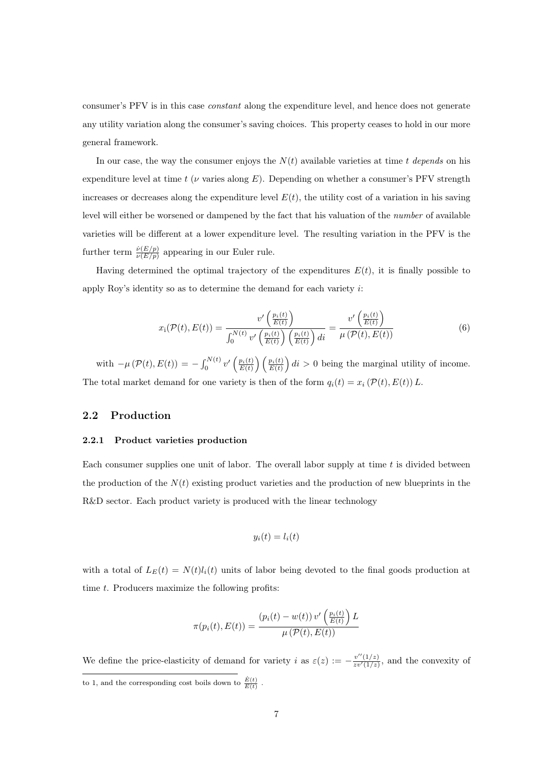consumer's PFV is in this case constant along the expenditure level, and hence does not generate any utility variation along the consumer's saving choices. This property ceases to hold in our more general framework.

In our case, the way the consumer enjoys the  $N(t)$  available varieties at time t depends on his expenditure level at time t ( $\nu$  varies along E). Depending on whether a consumer's PFV strength increases or decreases along the expenditure level  $E(t)$ , the utility cost of a variation in his saving level will either be worsened or dampened by the fact that his valuation of the number of available varieties will be different at a lower expenditure level. The resulting variation in the PFV is the further term  $\frac{\dot{\nu}(E/p)}{\nu(E/p)}$  appearing in our Euler rule.

Having determined the optimal trajectory of the expenditures  $E(t)$ , it is finally possible to apply Roy's identity so as to determine the demand for each variety i:

$$
x_{i}(\mathcal{P}(t), E(t)) = \frac{v'\left(\frac{p_{i}(t)}{E(t)}\right)}{\int_{0}^{N(t)} v'\left(\frac{p_{i}(t)}{E(t)}\right)\left(\frac{p_{i}(t)}{E(t)}\right)di} = \frac{v'\left(\frac{p_{i}(t)}{E(t)}\right)}{\mu\left(\mathcal{P}(t), E(t)\right)}
$$
(6)

with  $-\mu(\mathcal{P}(t), E(t)) = -\int_0^{N(t)} v' \left(\frac{p_i(t)}{E(t)}\right) \left(\frac{p_i(t)}{E(t)}\right) dt > 0$  being the marginal utility of income. The total market demand for one variety is then of the form  $q_i(t) = x_i (\mathcal{P}(t), E(t)) L$ .

#### 2.2 Production

#### 2.2.1 Product varieties production

Each consumer supplies one unit of labor. The overall labor supply at time  $t$  is divided between the production of the  $N(t)$  existing product varieties and the production of new blueprints in the R&D sector. Each product variety is produced with the linear technology

$$
y_i(t) = l_i(t)
$$

with a total of  $L_E(t) = N(t)l_i(t)$  units of labor being devoted to the final goods production at time t. Producers maximize the following profits:

$$
\pi(p_i(t), E(t)) = \frac{(p_i(t) - w(t)) v'\left(\frac{p_i(t)}{E(t)}\right) L}{\mu\left(\mathcal{P}(t), E(t)\right)}
$$

We define the price-elasticity of demand for variety i as  $\varepsilon(z) := -\frac{v''(1/z)}{zv'(1/z)}$  $\frac{v^{\alpha}(1/z)}{zv'(1/z)}$ , and the convexity of to 1, and the corresponding cost boils down to  $\frac{\dot{E}(t)}{E(t)}$ .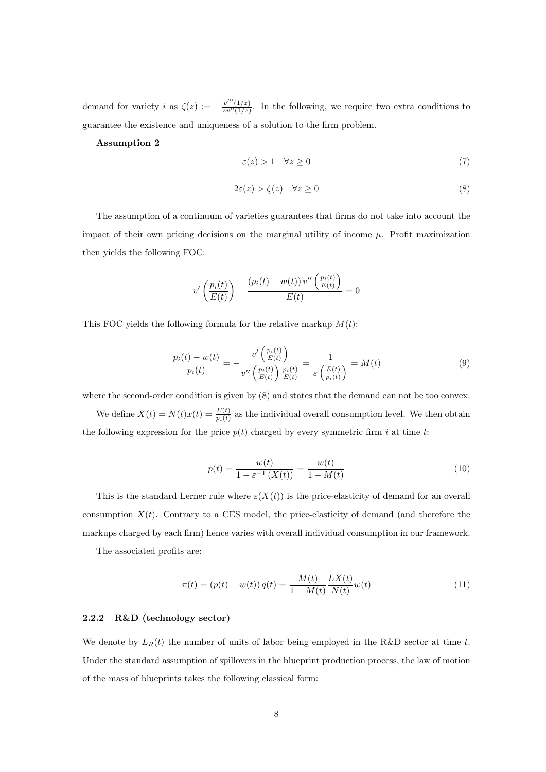demand for variety i as  $\zeta(z) := -\frac{v'''(1/z)}{zw''(1/z)}$  $\frac{v(1/z)}{zv''(1/z)}$ . In the following, we require two extra conditions to guarantee the existence and uniqueness of a solution to the firm problem.

#### Assumption 2

$$
\varepsilon(z) > 1 \quad \forall z \ge 0 \tag{7}
$$

$$
2\varepsilon(z) > \zeta(z) \quad \forall z \ge 0 \tag{8}
$$

The assumption of a continuum of varieties guarantees that firms do not take into account the impact of their own pricing decisions on the marginal utility of income  $\mu$ . Profit maximization then yields the following FOC:

$$
v'\left(\frac{p_i(t)}{E(t)}\right) + \frac{\left(p_i(t) - w(t)\right)v''\left(\frac{p_i(t)}{E(t)}\right)}{E(t)} = 0
$$

This FOC yields the following formula for the relative markup  $M(t)$ :

$$
\frac{p_i(t) - w(t)}{p_i(t)} = -\frac{v'\left(\frac{p_i(t)}{E(t)}\right)}{v''\left(\frac{p_i(t)}{E(t)}\right)\frac{p_i(t)}{E(t)}} = \frac{1}{\varepsilon\left(\frac{E(t)}{p_i(t)}\right)} = M(t) \tag{9}
$$

where the second-order condition is given by (8) and states that the demand can not be too convex. We define  $X(t) = N(t)x(t) = \frac{E(t)}{p_i(t)}$  as the individual overall consumption level. We then obtain the following expression for the price  $p(t)$  charged by every symmetric firm i at time t:

$$
p(t) = \frac{w(t)}{1 - \varepsilon^{-1} (X(t))} = \frac{w(t)}{1 - M(t)}
$$
\n(10)

This is the standard Lerner rule where  $\varepsilon(X(t))$  is the price-elasticity of demand for an overall consumption  $X(t)$ . Contrary to a CES model, the price-elasticity of demand (and therefore the markups charged by each firm) hence varies with overall individual consumption in our framework.

The associated profits are:

$$
\pi(t) = (p(t) - w(t)) q(t) = \frac{M(t)}{1 - M(t)} \frac{LX(t)}{N(t)} w(t)
$$
\n(11)

#### 2.2.2 R&D (technology sector)

We denote by  $L_R(t)$  the number of units of labor being employed in the R&D sector at time t. Under the standard assumption of spillovers in the blueprint production process, the law of motion of the mass of blueprints takes the following classical form: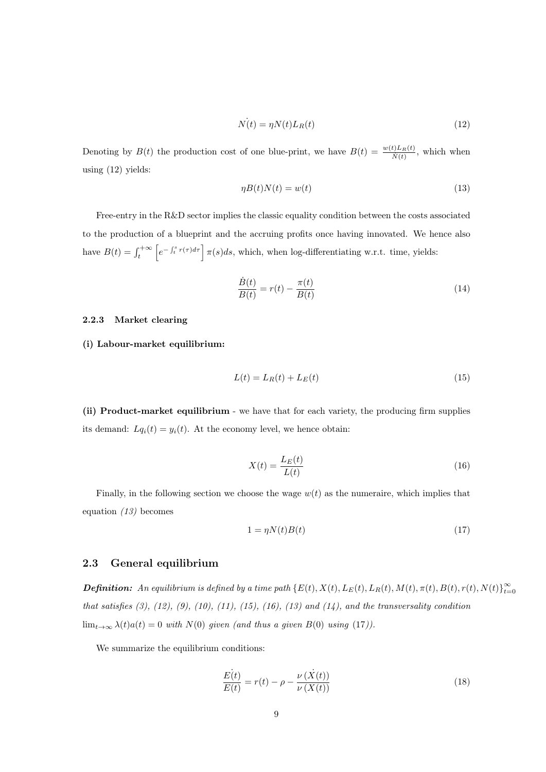$$
\dot{N(t)} = \eta N(t) L_R(t) \tag{12}
$$

Denoting by  $B(t)$  the production cost of one blue-print, we have  $B(t) = \frac{w(t) L_R(t)}{\dot{N}(t)}$ , which when using (12) yields:

$$
\eta B(t)N(t) = w(t) \tag{13}
$$

Free-entry in the R&D sector implies the classic equality condition between the costs associated to the production of a blueprint and the accruing profits once having innovated. We hence also have  $B(t) = \int_{t}^{+\infty} \left[ e^{-\int_{t}^{s} r(\tau) d\tau} \right] \pi(s) ds$ , which, when log-differentiating w.r.t. time, yields:

$$
\frac{\dot{B}(t)}{B(t)} = r(t) - \frac{\pi(t)}{B(t)}
$$
\n(14)

#### 2.2.3 Market clearing

(i) Labour-market equilibrium:

$$
L(t) = L_R(t) + L_E(t)
$$
\n<sup>(15)</sup>

(ii) Product-market equilibrium - we have that for each variety, the producing firm supplies its demand:  $Lq_i(t) = y_i(t)$ . At the economy level, we hence obtain:

$$
X(t) = \frac{L_E(t)}{L(t)}\tag{16}
$$

Finally, in the following section we choose the wage  $w(t)$  as the numeraire, which implies that equation (13) becomes

$$
1 = \eta N(t)B(t) \tag{17}
$$

#### 2.3 General equilibrium

**Definition:** An equilibrium is defined by a time path  $\{E(t), X(t), L_E(t), L_R(t), M(t), \pi(t), B(t), r(t), N(t)\}_{t=0}^{\infty}$  $t=0$ that satisfies  $(3)$ ,  $(12)$ ,  $(9)$ ,  $(10)$ ,  $(11)$ ,  $(15)$ ,  $(16)$ ,  $(13)$  and  $(14)$ , and the transversality condition  $\lim_{t\to\infty} \lambda(t) a(t) = 0$  with  $N(0)$  given (and thus a given  $B(0)$  using (17)).

We summarize the equilibrium conditions:

$$
\frac{E(t)}{E(t)} = r(t) - \rho - \frac{\nu(\dot{X}(t))}{\nu(X(t))}
$$
\n(18)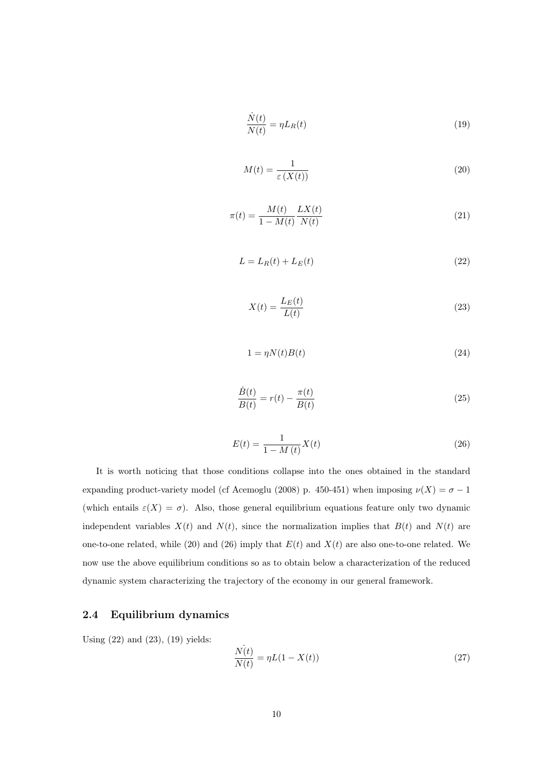$$
\frac{\dot{N}(t)}{N(t)} = \eta L_R(t)
$$
\n(19)

$$
M(t) = \frac{1}{\varepsilon \left( X(t) \right)}\tag{20}
$$

$$
\pi(t) = \frac{M(t)}{1 - M(t)} \frac{LX(t)}{N(t)}
$$
\n(21)

$$
L = L_R(t) + L_E(t) \tag{22}
$$

$$
X(t) = \frac{L_E(t)}{L(t)}\tag{23}
$$

$$
1 = \eta N(t)B(t) \tag{24}
$$

$$
\frac{\dot{B}(t)}{B(t)} = r(t) - \frac{\pi(t)}{B(t)}
$$
\n(25)

$$
E(t) = \frac{1}{1 - M(t)} X(t)
$$
\n(26)

It is worth noticing that those conditions collapse into the ones obtained in the standard expanding product-variety model (cf Acemoglu (2008) p. 450-451) when imposing  $\nu(X) = \sigma - 1$ (which entails  $\varepsilon(X) = \sigma$ ). Also, those general equilibrium equations feature only two dynamic independent variables  $X(t)$  and  $N(t)$ , since the normalization implies that  $B(t)$  and  $N(t)$  are one-to-one related, while (20) and (26) imply that  $E(t)$  and  $X(t)$  are also one-to-one related. We now use the above equilibrium conditions so as to obtain below a characterization of the reduced dynamic system characterizing the trajectory of the economy in our general framework.

#### 2.4 Equilibrium dynamics

Using (22) and (23), (19) yields:

$$
\frac{\dot{N(t)}}{N(t)} = \eta L(1 - X(t))
$$
\n(27)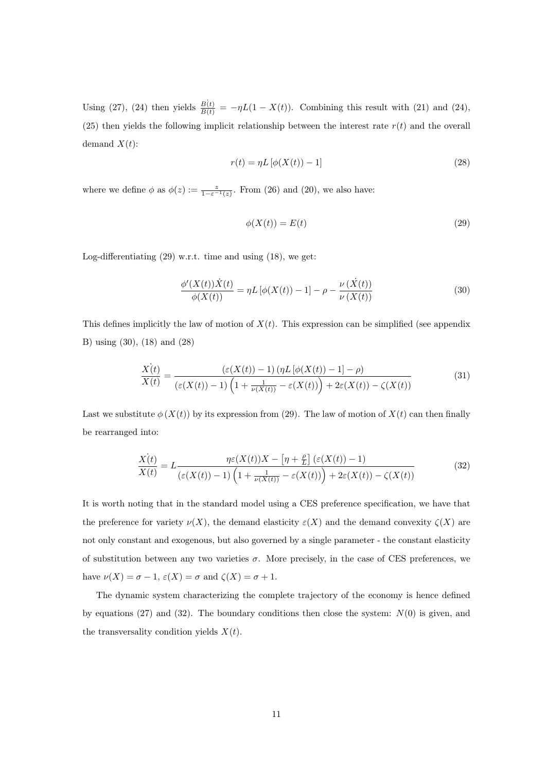Using (27), (24) then yields  $\frac{B(t)}{B(t)} = -\eta L(1 - X(t))$ . Combining this result with (21) and (24), (25) then yields the following implicit relationship between the interest rate  $r(t)$  and the overall demand  $X(t)$ :

$$
r(t) = \eta L \left[ \phi(X(t)) - 1 \right] \tag{28}
$$

where we define  $\phi$  as  $\phi(z) := \frac{z}{1-\varepsilon^{-1}(z)}$ . From (26) and (20), we also have:

$$
\phi(X(t)) = E(t) \tag{29}
$$

Log-differentiating (29) w.r.t. time and using (18), we get:

$$
\frac{\phi'(X(t))\dot{X}(t)}{\phi(X(t))} = \eta L \left[\phi(X(t)) - 1\right] - \rho - \frac{\nu(\dot{X}(t))}{\nu(X(t))}
$$
\n(30)

This defines implicitly the law of motion of  $X(t)$ . This expression can be simplified (see appendix B) using (30), (18) and (28)

$$
\frac{\dot{X}(t)}{X(t)} = \frac{\left(\varepsilon(X(t)) - 1\right) \left(\eta L \left[\phi(X(t)) - 1\right] - \rho\right)}{\left(\varepsilon(X(t)) - 1\right) \left(1 + \frac{1}{\nu(X(t))} - \varepsilon(X(t))\right) + 2\varepsilon(X(t)) - \zeta(X(t))}
$$
\n(31)

Last we substitute  $\phi(X(t))$  by its expression from (29). The law of motion of  $X(t)$  can then finally be rearranged into:

$$
\frac{\dot{X(t)}}{X(t)} = L \frac{\eta \varepsilon(X(t))X - \left[\eta + \frac{\rho}{L}\right] (\varepsilon(X(t)) - 1)}{(\varepsilon(X(t)) - 1)\left(1 + \frac{1}{\nu(X(t))} - \varepsilon(X(t))\right) + 2\varepsilon(X(t)) - \zeta(X(t))}
$$
\n(32)

It is worth noting that in the standard model using a CES preference specification, we have that the preference for variety  $\nu(X)$ , the demand elasticity  $\varepsilon(X)$  and the demand convexity  $\zeta(X)$  are not only constant and exogenous, but also governed by a single parameter - the constant elasticity of substitution between any two varieties  $\sigma$ . More precisely, in the case of CES preferences, we have  $\nu(X) = \sigma - 1$ ,  $\varepsilon(X) = \sigma$  and  $\zeta(X) = \sigma + 1$ .

The dynamic system characterizing the complete trajectory of the economy is hence defined by equations (27) and (32). The boundary conditions then close the system:  $N(0)$  is given, and the transversality condition yields  $X(t)$ .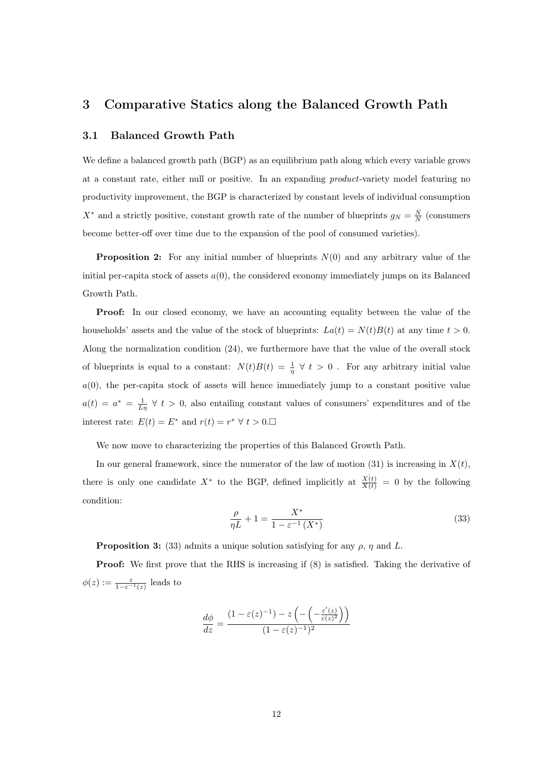## 3 Comparative Statics along the Balanced Growth Path

#### 3.1 Balanced Growth Path

We define a balanced growth path (BGP) as an equilibrium path along which every variable grows at a constant rate, either null or positive. In an expanding product-variety model featuring no productivity improvement, the BGP is characterized by constant levels of individual consumption  $X^*$  and a strictly positive, constant growth rate of the number of blueprints  $g_N = \frac{\dot{N}}{N}$  (consumers become better-off over time due to the expansion of the pool of consumed varieties).

**Proposition 2:** For any initial number of blueprints  $N(0)$  and any arbitrary value of the initial per-capita stock of assets  $a(0)$ , the considered economy immediately jumps on its Balanced Growth Path.

Proof: In our closed economy, we have an accounting equality between the value of the households' assets and the value of the stock of blueprints:  $La(t) = N(t)B(t)$  at any time  $t > 0$ . Along the normalization condition (24), we furthermore have that the value of the overall stock of blueprints is equal to a constant:  $N(t)B(t) = \frac{1}{\eta} \forall t > 0$ . For any arbitrary initial value  $a(0)$ , the per-capita stock of assets will hence immediately jump to a constant positive value  $a(t) = a^* = \frac{1}{L\eta} \forall t > 0$ , also entailing constant values of consumers' expenditures and of the interest rate:  $E(t) = E^*$  and  $r(t) = r^* \forall t > 0$ .

We now move to characterizing the properties of this Balanced Growth Path.

In our general framework, since the numerator of the law of motion (31) is increasing in  $X(t)$ , there is only one candidate  $X^*$  to the BGP, defined implicitly at  $\frac{X(t)}{X(t)} = 0$  by the following condition:

$$
\frac{\rho}{\eta L} + 1 = \frac{X^*}{1 - \varepsilon^{-1} (X^*)}
$$
\n
$$
\tag{33}
$$

**Proposition 3:** (33) admits a unique solution satisfying for any  $\rho$ ,  $\eta$  and L.

Proof: We first prove that the RHS is increasing if (8) is satisfied. Taking the derivative of  $\phi(z) := \frac{z}{1 - \varepsilon^{-1}(z)}$  leads to

$$
\frac{d\phi}{dz} = \frac{(1 - \varepsilon(z)^{-1}) - z\left(-\left(-\frac{\varepsilon'(z)}{\varepsilon(z)^2}\right)\right)}{(1 - \varepsilon(z)^{-1})^2}
$$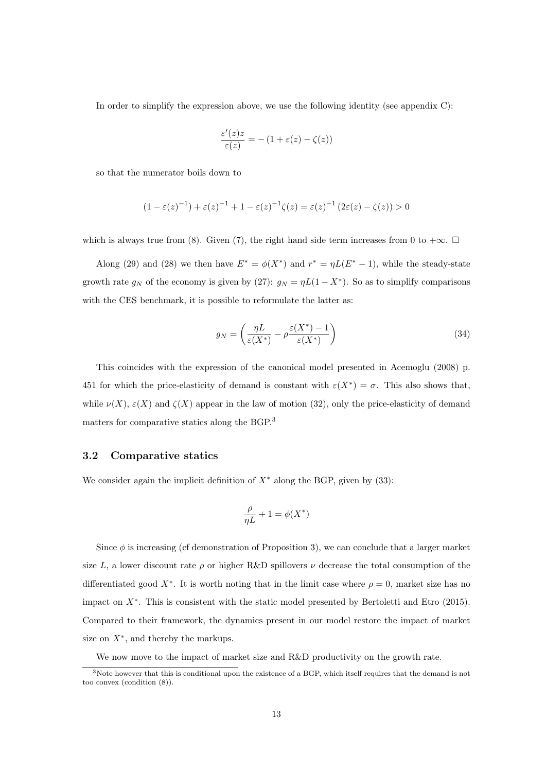In order to simplify the expression above, we use the following identity (see appendix C):

$$
\frac{\varepsilon'(z)z}{\varepsilon(z)} = - (1 + \varepsilon(z) - \zeta(z))
$$

so that the numerator boils down to

$$
(1 - \varepsilon(z)^{-1}) + \varepsilon(z)^{-1} + 1 - \varepsilon(z)^{-1} \zeta(z) = \varepsilon(z)^{-1} (2\varepsilon(z) - \zeta(z)) > 0
$$

which is always true from (8). Given (7), the right hand side term increases from 0 to  $+\infty$ .  $\Box$ 

Along (29) and (28) we then have  $E^* = \phi(X^*)$  and  $r^* = \eta L(E^* - 1)$ , while the steady-state growth rate  $g_N$  of the economy is given by (27):  $g_N = \eta L(1 - X^*)$ . So as to simplify comparisons with the CES benchmark, it is possible to reformulate the latter as:

$$
g_N = \left(\frac{\eta L}{\varepsilon(X^*)} - \rho \frac{\varepsilon(X^*) - 1}{\varepsilon(X^*)}\right) \tag{34}
$$

This coincides with the expression of the canonical model presented in Acemoglu (2008) p. 451 for which the price-elasticity of demand is constant with  $\varepsilon(X^*) = \sigma$ . This also shows that, while  $\nu(X)$ ,  $\varepsilon(X)$  and  $\zeta(X)$  appear in the law of motion (32), only the price-elasticity of demand matters for comparative statics along the BGP.<sup>3</sup>

#### 3.2 Comparative statics

We consider again the implicit definition of  $X^*$  along the BGP, given by (33):

$$
\frac{\rho}{\eta L}+1=\phi(X^*)
$$

Since  $\phi$  is increasing (cf demonstration of Proposition 3), we can conclude that a larger market size L, a lower discount rate  $\rho$  or higher R&D spillovers  $\nu$  decrease the total consumption of the differentiated good  $X^*$ . It is worth noting that in the limit case where  $\rho = 0$ , market size has no impact on X<sup>∗</sup> . This is consistent with the static model presented by Bertoletti and Etro (2015). Compared to their framework, the dynamics present in our model restore the impact of market size on  $X^*$ , and thereby the markups.

We now move to the impact of market size and R&D productivity on the growth rate.

<sup>3</sup>Note however that this is conditional upon the existence of a BGP, which itself requires that the demand is not too convex (condition (8)).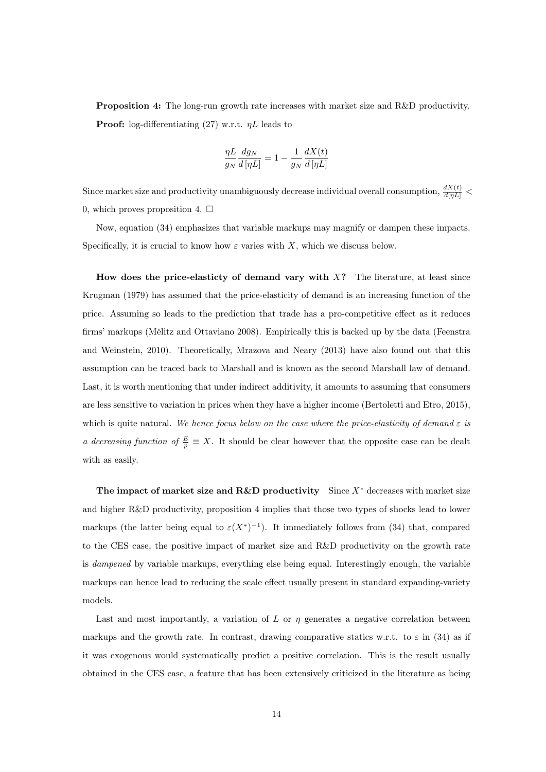Proposition 4: The long-run growth rate increases with market size and R&D productivity. **Proof:** log-differentiating (27) w.r.t.  $\eta L$  leads to

$$
\frac{\eta L}{g_N}\frac{dg_N}{d\left[\eta L\right]}=1-\frac{1}{g_N}\frac{dX(t)}{d\left[\eta L\right]}
$$

Since market size and productivity unambiguously decrease individual overall consumption,  $\frac{dX(t)}{d[\eta L]}$  < 0, which proves proposition 4.  $\Box$ 

Now, equation (34) emphasizes that variable markups may magnify or dampen these impacts. Specifically, it is crucial to know how  $\varepsilon$  varies with X, which we discuss below.

How does the price-elasticty of demand vary with  $X$ ? The literature, at least since Krugman (1979) has assumed that the price-elasticity of demand is an increasing function of the price. Assuming so leads to the prediction that trade has a pro-competitive effect as it reduces firms' markups (Mélitz and Ottaviano 2008). Empirically this is backed up by the data (Feenstra and Weinstein, 2010). Theoretically, Mrazova and Neary (2013) have also found out that this assumption can be traced back to Marshall and is known as the second Marshall law of demand. Last, it is worth mentioning that under indirect additivity, it amounts to assuming that consumers are less sensitive to variation in prices when they have a higher income (Bertoletti and Etro, 2015), which is quite natural. We hence focus below on the case where the price-elasticity of demand  $\varepsilon$  is a decreasing function of  $\frac{E}{p} \equiv X$ . It should be clear however that the opposite case can be dealt with as easily.

The impact of market size and R&D productivity Since  $X^*$  decreases with market size and higher R&D productivity, proposition 4 implies that those two types of shocks lead to lower markups (the latter being equal to  $\varepsilon(X^*)^{-1}$ ). It immediately follows from (34) that, compared to the CES case, the positive impact of market size and R&D productivity on the growth rate is dampened by variable markups, everything else being equal. Interestingly enough, the variable markups can hence lead to reducing the scale effect usually present in standard expanding-variety models.

Last and most importantly, a variation of L or  $\eta$  generates a negative correlation between markups and the growth rate. In contrast, drawing comparative statics w.r.t. to  $\varepsilon$  in (34) as if it was exogenous would systematically predict a positive correlation. This is the result usually obtained in the CES case, a feature that has been extensively criticized in the literature as being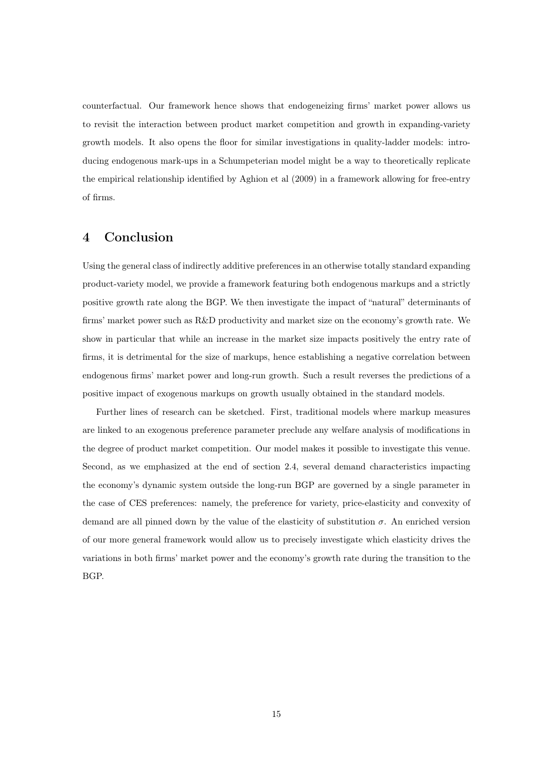counterfactual. Our framework hence shows that endogeneizing firms' market power allows us to revisit the interaction between product market competition and growth in expanding-variety growth models. It also opens the floor for similar investigations in quality-ladder models: introducing endogenous mark-ups in a Schumpeterian model might be a way to theoretically replicate the empirical relationship identified by Aghion et al (2009) in a framework allowing for free-entry of firms.

## 4 Conclusion

Using the general class of indirectly additive preferences in an otherwise totally standard expanding product-variety model, we provide a framework featuring both endogenous markups and a strictly positive growth rate along the BGP. We then investigate the impact of "natural" determinants of firms' market power such as R&D productivity and market size on the economy's growth rate. We show in particular that while an increase in the market size impacts positively the entry rate of firms, it is detrimental for the size of markups, hence establishing a negative correlation between endogenous firms' market power and long-run growth. Such a result reverses the predictions of a positive impact of exogenous markups on growth usually obtained in the standard models.

Further lines of research can be sketched. First, traditional models where markup measures are linked to an exogenous preference parameter preclude any welfare analysis of modifications in the degree of product market competition. Our model makes it possible to investigate this venue. Second, as we emphasized at the end of section 2.4, several demand characteristics impacting the economy's dynamic system outside the long-run BGP are governed by a single parameter in the case of CES preferences: namely, the preference for variety, price-elasticity and convexity of demand are all pinned down by the value of the elasticity of substitution  $\sigma$ . An enriched version of our more general framework would allow us to precisely investigate which elasticity drives the variations in both firms' market power and the economy's growth rate during the transition to the BGP.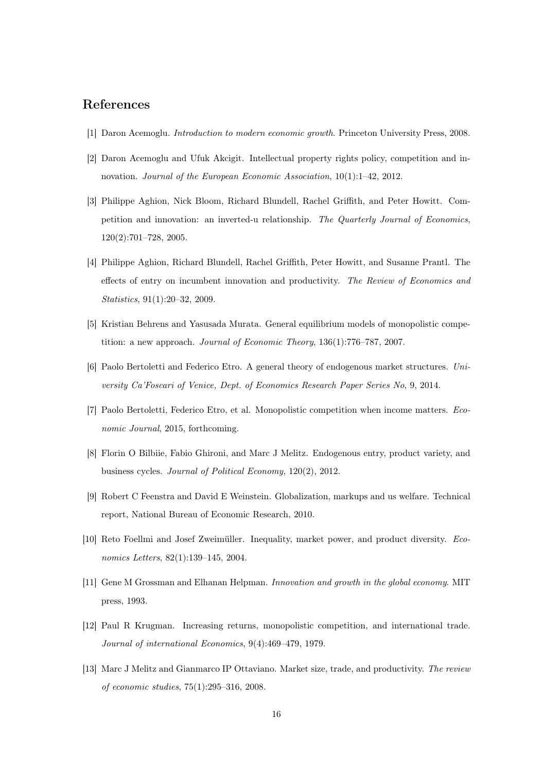## References

- [1] Daron Acemoglu. Introduction to modern economic growth. Princeton University Press, 2008.
- [2] Daron Acemoglu and Ufuk Akcigit. Intellectual property rights policy, competition and innovation. Journal of the European Economic Association, 10(1):1–42, 2012.
- [3] Philippe Aghion, Nick Bloom, Richard Blundell, Rachel Griffith, and Peter Howitt. Competition and innovation: an inverted-u relationship. The Quarterly Journal of Economics, 120(2):701–728, 2005.
- [4] Philippe Aghion, Richard Blundell, Rachel Griffith, Peter Howitt, and Susanne Prantl. The effects of entry on incumbent innovation and productivity. The Review of Economics and Statistics, 91(1):20–32, 2009.
- [5] Kristian Behrens and Yasusada Murata. General equilibrium models of monopolistic competition: a new approach. Journal of Economic Theory, 136(1):776–787, 2007.
- [6] Paolo Bertoletti and Federico Etro. A general theory of endogenous market structures. University Ca'Foscari of Venice, Dept. of Economics Research Paper Series No, 9, 2014.
- [7] Paolo Bertoletti, Federico Etro, et al. Monopolistic competition when income matters. Economic Journal, 2015, forthcoming.
- [8] Florin O Bilbiie, Fabio Ghironi, and Marc J Melitz. Endogenous entry, product variety, and business cycles. Journal of Political Economy, 120(2), 2012.
- [9] Robert C Feenstra and David E Weinstein. Globalization, markups and us welfare. Technical report, National Bureau of Economic Research, 2010.
- [10] Reto Foellmi and Josef Zweimüller. Inequality, market power, and product diversity. Economics Letters, 82(1):139–145, 2004.
- [11] Gene M Grossman and Elhanan Helpman. Innovation and growth in the global economy. MIT press, 1993.
- [12] Paul R Krugman. Increasing returns, monopolistic competition, and international trade. Journal of international Economics, 9(4):469–479, 1979.
- [13] Marc J Melitz and Gianmarco IP Ottaviano. Market size, trade, and productivity. The review of economic studies, 75(1):295–316, 2008.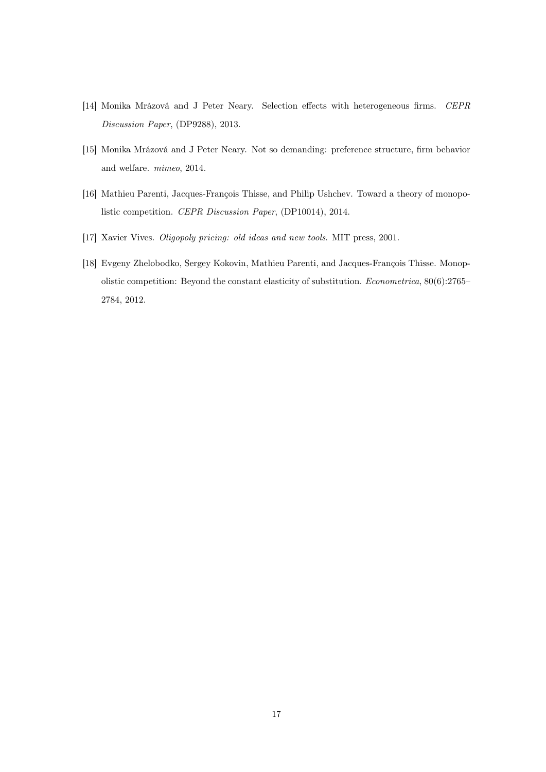- [14] Monika Mrázová and J Peter Neary. Selection effects with heterogeneous firms. CEPR Discussion Paper, (DP9288), 2013.
- [15] Monika Mrázová and J Peter Neary. Not so demanding: preference structure, firm behavior and welfare. mimeo, 2014.
- [16] Mathieu Parenti, Jacques-François Thisse, and Philip Ushchev. Toward a theory of monopolistic competition. CEPR Discussion Paper, (DP10014), 2014.
- [17] Xavier Vives. Oligopoly pricing: old ideas and new tools. MIT press, 2001.
- [18] Evgeny Zhelobodko, Sergey Kokovin, Mathieu Parenti, and Jacques-François Thisse. Monopolistic competition: Beyond the constant elasticity of substitution. Econometrica, 80(6):2765– 2784, 2012.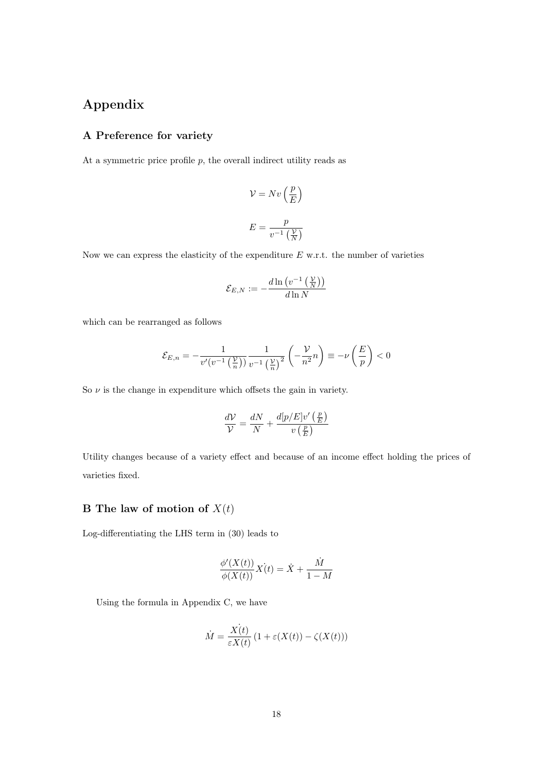## Appendix

### A Preference for variety

At a symmetric price profile  $p$ , the overall indirect utility reads as

$$
\mathcal{V} = Nv\left(\frac{p}{E}\right)
$$
  

$$
E = \frac{p}{v^{-1}\left(\frac{\mathcal{V}}{N}\right)}
$$

Now we can express the elasticity of the expenditure  $E$  w.r.t. the number of varieties

$$
\mathcal{E}_{E,N}:=-\frac{d\ln\left(v^{-1}\left(\frac{\mathcal{V}}{N}\right)\right)}{d\ln N}
$$

which can be rearranged as follows

$$
\mathcal{E}_{E,n} = -\frac{1}{v'(v^{-1}\left(\frac{\mathcal{V}}{n}\right))} \frac{1}{v^{-1}\left(\frac{\mathcal{V}}{n}\right)^2} \left(-\frac{\mathcal{V}}{n^2}n\right) \equiv -\nu\left(\frac{E}{p}\right) < 0
$$

So  $\nu$  is the change in expenditure which offsets the gain in variety.

$$
\frac{dV}{V} = \frac{dN}{N} + \frac{d[p/E]v'\left(\frac{p}{E}\right)}{v\left(\frac{p}{E}\right)}
$$

Utility changes because of a variety effect and because of an income effect holding the prices of varieties fixed.

### B The law of motion of  $X(t)$

Log-differentiating the LHS term in (30) leads to

$$
\frac{\phi'(X(t))}{\phi(X(t))}X(t) = \dot{X} + \frac{\dot{M}}{1 - M}
$$

Using the formula in Appendix C, we have

$$
\dot{M} = \frac{\dot{X(t)}}{\varepsilon X(t)} \left( 1 + \varepsilon(X(t)) - \zeta(X(t)) \right)
$$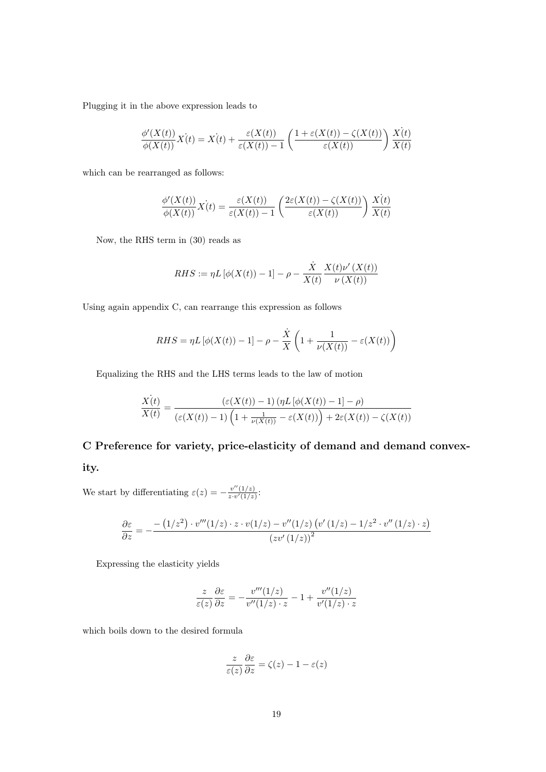Plugging it in the above expression leads to

$$
\frac{\phi'(X(t))}{\phi(X(t))}X(t) = X(t) + \frac{\varepsilon(X(t))}{\varepsilon(X(t)) - 1} \left( \frac{1 + \varepsilon(X(t)) - \zeta(X(t))}{\varepsilon(X(t))} \right) \frac{X(t)}{X(t)}
$$

which can be rearranged as follows:

$$
\frac{\phi'(X(t))}{\phi(X(t))}X(t) = \frac{\varepsilon(X(t))}{\varepsilon(X(t)) - 1} \left( \frac{2\varepsilon(X(t)) - \zeta(X(t))}{\varepsilon(X(t))} \right) \frac{X(t)}{X(t)}
$$

Now, the RHS term in (30) reads as

$$
RHS := \eta L \left[ \phi(X(t)) - 1 \right] - \rho - \frac{\dot{X}}{X(t)} \frac{X(t)\nu'(X(t))}{\nu(X(t))}
$$

Using again appendix C, can rearrange this expression as follows

$$
RHS = \eta L \left[ \phi(X(t)) - 1 \right] - \rho - \frac{\dot{X}}{X} \left( 1 + \frac{1}{\nu(X(t))} - \varepsilon(X(t)) \right)
$$

Equalizing the RHS and the LHS terms leads to the law of motion

$$
\frac{\dot{X(t)}}{X(t)} = \frac{\left(\varepsilon(X(t)) - 1\right) \left(\eta L \left[\phi(X(t)) - 1\right] - \rho\right)}{\left(\varepsilon(X(t)) - 1\right) \left(1 + \frac{1}{\nu(X(t))} - \varepsilon(X(t))\right) + 2\varepsilon(X(t)) - \zeta(X(t))}
$$

## C Preference for variety, price-elasticity of demand and demand convex-

ity.

We start by differentiating  $\varepsilon(z) = -\frac{v''(1/z)}{z_0 v'(1/z)}$  $\frac{v(1/z)}{z \cdot v'(1/z)}$ :

$$
\frac{\partial \varepsilon}{\partial z} = -\frac{-\left(1/z^2\right) \cdot v'''(1/z) \cdot z \cdot v(1/z) - v''(1/z) \left(v'\left(1/z\right) - 1/z^2 \cdot v''\left(1/z\right) \cdot z\right)}{\left(zv'\left(1/z\right)\right)^2}
$$

Expressing the elasticity yields

$$
\frac{z}{\varepsilon(z)}\frac{\partial \varepsilon}{\partial z} = -\frac{v'''(1/z)}{v''(1/z) \cdot z} - 1 + \frac{v''(1/z)}{v'(1/z) \cdot z}
$$

which boils down to the desired formula

$$
\frac{z}{\varepsilon(z)}\frac{\partial \varepsilon}{\partial z} = \zeta(z) - 1 - \varepsilon(z)
$$